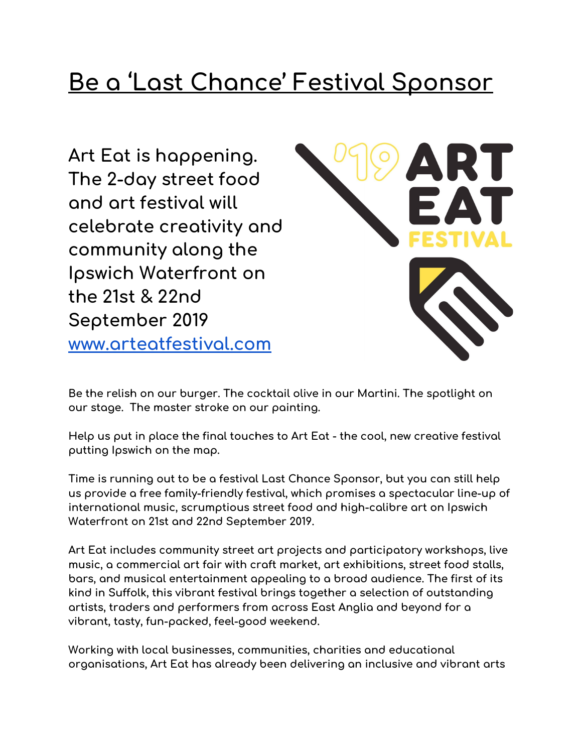# **Be a 'Last Chance' Festival Sponsor**

**Art Eat is happening. The 2-day street food and art festival will celebrate creativity and community along the Ipswich Waterfront on the 21st & 22nd September 2019 [www.arteatfestival.com](http://www.arteatfestival.com/)**



**Be the relish on our burger. The cocktail olive in our Martini. The spotlight on our stage. The master stroke on our painting.**

**Help us put in place the final touches to Art Eat - the cool, new creative festival putting Ipswich on the map.**

**Time is running out to be a festival Last Chance Sponsor, but you can still help us provide a free family-friendly festival, which promises a spectacular line-up of international music, scrumptious street food and high-calibre art on Ipswich Waterfront on 21st and 22nd September 2019.**

**Art Eat includes community street art projects and participatory workshops, live music, a commercial art fair with craft market, art exhibitions, street food stalls, bars, and musical entertainment appealing to a broad audience. The first of its kind in Suffolk, this vibrant festival brings together a selection of outstanding artists, traders and performers from across East Anglia and beyond for a vibrant, tasty, fun-packed, feel-good weekend.**

**Working with local businesses, communities, charities and educational organisations, Art Eat has already been delivering an inclusive and vibrant arts**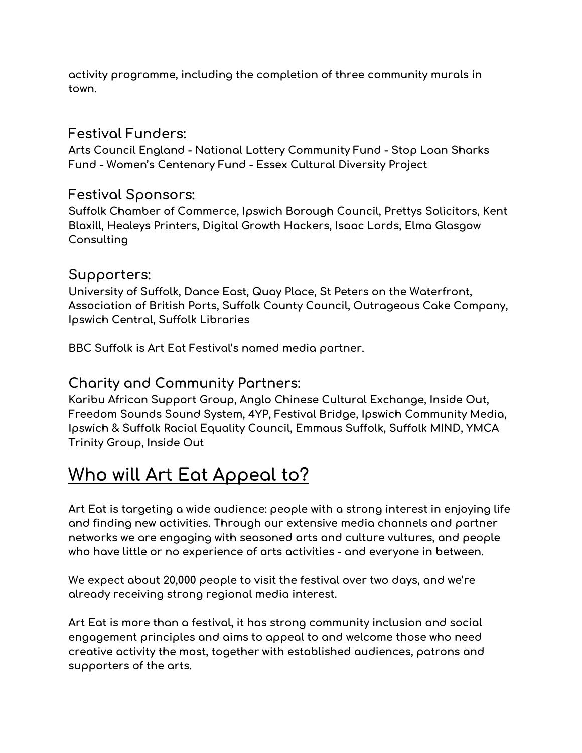**activity programme, including the completion of three community murals in town.**

### **Festival Funders:**

**Arts Council England - National Lottery Community Fund - Stop Loan Sharks Fund - Women's Centenary Fund - Essex Cultural Diversity Project**

### **Festival Sponsors:**

**Suffolk Chamber of Commerce, Ipswich Borough Council, Prettys Solicitors, Kent Blaxill, Healeys Printers, Digital Growth Hackers, Isaac Lords, Elma Glasgow Consulting**

### **Supporters:**

**University of Suffolk, Dance East, Quay Place, St Peters on the Waterfront, Association of British Ports, Suffolk County Council, Outrageous Cake Company, Ipswich Central, Suffolk Libraries**

**BBC Suffolk is Art Eat Festival's named media partner.**

### **Charity and Community Partners:**

**Karibu African Support Group, Anglo Chinese Cultural Exchange, Inside Out, Freedom Sounds Sound System, 4YP, Festival Bridge, Ipswich Community Media, Ipswich & Suffolk Racial Equality Council, Emmaus Suffolk, Suffolk MIND, YMCA Trinity Group, Inside Out**

# **Who will Art Eat Appeal to?**

**Art Eat is targeting a wide audience: people with a strong interest in enjoying life and finding new activities. Through our extensive media channels and partner networks we are engaging with seasoned arts and culture vultures, and people who have little or no experience of arts activities - and everyone in between.**

**We expect about 20,000 people to visit the festival over two days, and we're already receiving strong regional media interest.**

**Art Eat is more than a festival, it has strong community inclusion and social engagement principles and aims to appeal to and welcome those who need creative activity the most, together with established audiences, patrons and supporters of the arts.**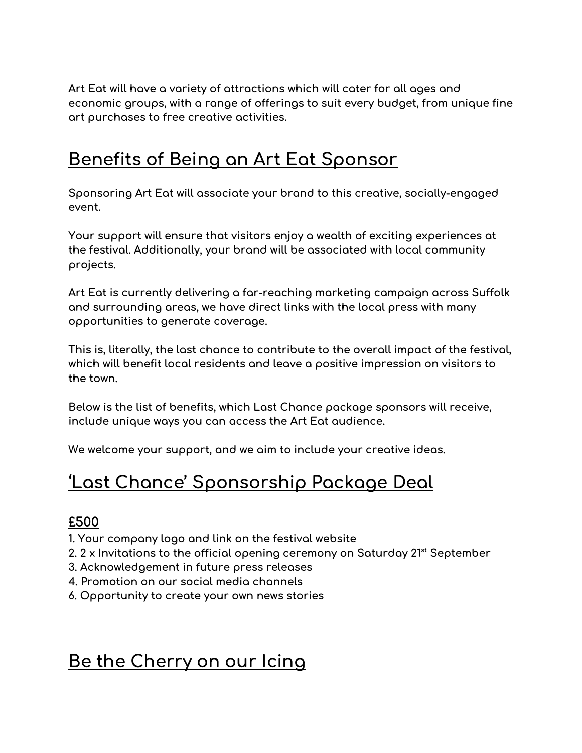**Art Eat will have a variety of attractions which will cater for all ages and economic groups, with a range of offerings to suit every budget, from unique fine art purchases to free creative activities.**

### **Benefits of Being an Art Eat Sponsor**

**Sponsoring Art Eat will associate your brand to this creative, socially-engaged event.**

**Your support will ensure that visitors enjoy a wealth of exciting experiences at the festival. Additionally, your brand will be associated with local community projects.**

**Art Eat is currently delivering a far-reaching marketing campaign across Suffolk and surrounding areas, we have direct links with the local press with many opportunities to generate coverage.**

**This is, literally, the last chance to contribute to the overall impact of the festival, which will benefit local residents and leave a positive impression on visitors to the town.**

**Below is the list of benefits, which Last Chance package sponsors will receive, include unique ways you can access the Art Eat audience.**

**We welcome your support, and we aim to include your creative ideas.**

# **'Last Chance' Sponsorship Package Deal**

### **£500**

**1. Your company logo and link on the festival website**

- **2. 2 x Invitations to the official opening ceremony on Saturday 21 st September**
- **3. Acknowledgement in future press releases**
- **4. Promotion on our social media channels**
- **6. Opportunity to create your own news stories**

# **Be the Cherry on our Icing**